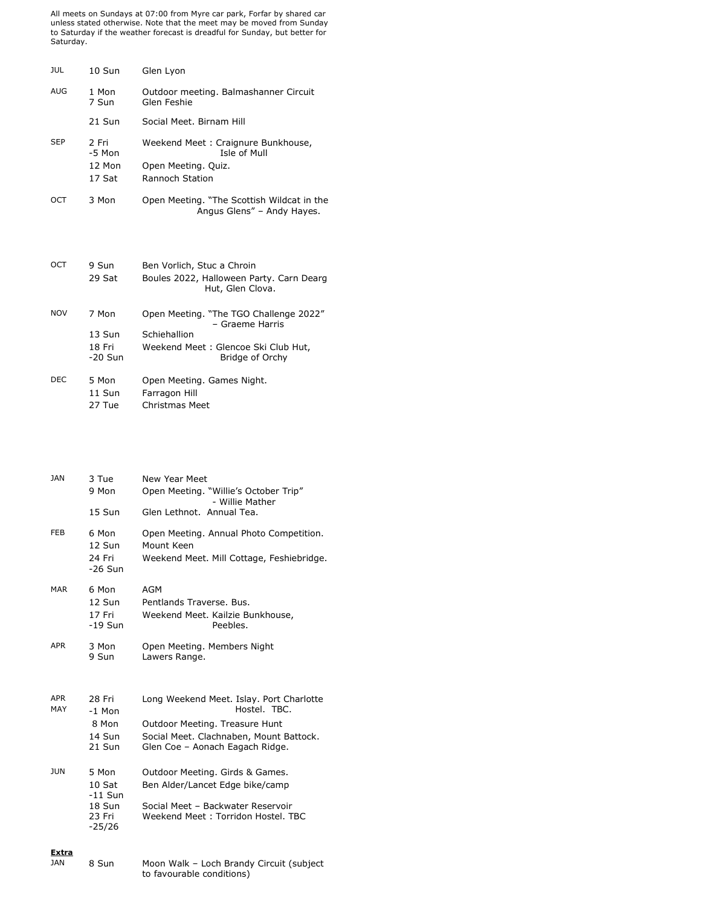All meets on Sundays at 07:00 from Myre car park, Forfar by shared car unless stated otherwise. Note that the meet may be moved from Sunday to Saturday if the weather forecast is dreadful for Sunday, but better for Saturday.

| JUL        | $10S$ un                                | Glen Lyon                                                                                                                           |
|------------|-----------------------------------------|-------------------------------------------------------------------------------------------------------------------------------------|
| AUG        | 1 Mon<br>7 Sun                          | Outdoor meeting. Balmashanner Circuit<br>Glen Feshie                                                                                |
|            | 21 Sun                                  | Social Meet. Birnam Hill                                                                                                            |
| <b>SEP</b> | 2 Fri<br>$-5$ Mon<br>$12$ Mon<br>17 Sat | Weekend Meet: Craignure Bunkhouse,<br>Isle of Mull<br>Open Meeting. Quiz.<br><b>Rannoch Station</b>                                 |
| OCT        | 3 Mon                                   | Open Meeting. "The Scottish Wildcat in the<br>Angus Glens" - Andy Hayes.                                                            |
| OCT        | 9 Sun<br>29 Sat                         | Ben Vorlich, Stuc a Chroin<br>Boules 2022, Halloween Party. Carn Dearg<br>Hut, Glen Clova.                                          |
| <b>NOV</b> | 7 Mon<br>13 Sun<br>18 Fri<br>$-20$ Sun  | Open Meeting. "The TGO Challenge 2022"<br>- Graeme Harris<br>Schiehallion<br>Weekend Meet: Glencoe Ski Club Hut,<br>Bridge of Orchy |
| DEC.       | 5 Mon<br>11 Sun                         | Open Meeting. Games Night.<br>Farragon Hill                                                                                         |

| 27 Tue | Christmas Meet |  |
|--------|----------------|--|
|        |                |  |

| <b>JAN</b>          | 3 Tue<br>9 Mon                                                 | New Year Meet<br>Open Meeting. "Willie's October Trip"<br>- Willie Mather                                                                     |
|---------------------|----------------------------------------------------------------|-----------------------------------------------------------------------------------------------------------------------------------------------|
|                     | 15 Sun                                                         | Glen Lethnot. Annual Tea.                                                                                                                     |
| <b>FEB</b>          | 6 Mon<br>12 Sun<br>24 Fri<br>$-26$ Sun                         | Open Meeting. Annual Photo Competition.<br>Mount Keen<br>Weekend Meet. Mill Cottage, Feshiebridge.                                            |
| <b>MAR</b>          | 6 Mon<br>12 Sun<br>17 Fri<br>$-19$ Sun                         | <b>AGM</b><br>Pentlands Traverse, Bus.<br>Weekend Meet. Kailzie Bunkhouse,<br>Peebles.                                                        |
| APR                 | 3 Mon<br>9 Sun                                                 | Open Meeting. Members Night<br>Lawers Range.                                                                                                  |
| APR<br>MAY          | 28 Fri<br>$-1$ Mon                                             | Long Weekend Meet. Islay. Port Charlotte<br>Hostel. TBC.                                                                                      |
|                     | 8 Mon<br>14 Sun<br>21 Sun                                      | Outdoor Meeting. Treasure Hunt<br>Social Meet. Clachnaben, Mount Battock.<br>Glen Coe - Aonach Eagach Ridge.                                  |
| JUN                 | 5 Mon<br>$10$ Sat<br>$-11$ Sun<br>18 Sun<br>23 Fri<br>$-25/26$ | Outdoor Meeting. Girds & Games.<br>Ben Alder/Lancet Edge bike/camp<br>Social Meet - Backwater Reservoir<br>Weekend Meet: Torridon Hostel, TBC |
| <b>Extra</b><br>JAN | 8 Sun                                                          | Moon Walk - Loch Brandy Circuit (subject<br>to favourable conditions)                                                                         |